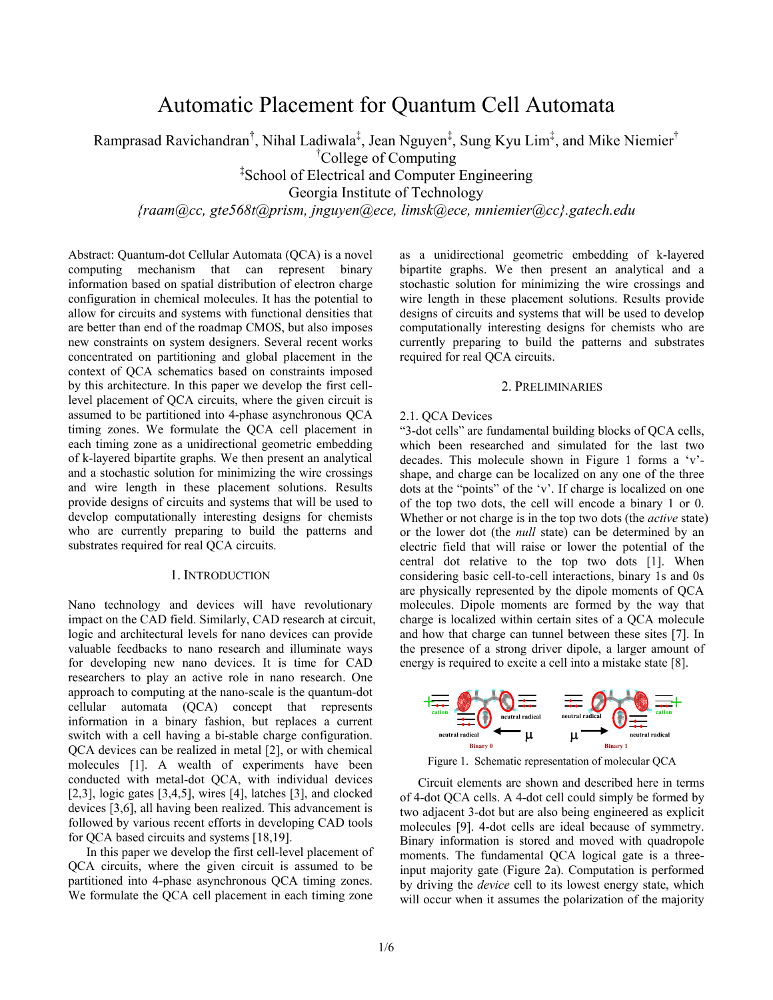# Automatic Placement for Quantum Cell Automata

Ramprasad Ravichandran<sup>†</sup>, Nihal Ladiwala<sup>‡</sup>, Jean Nguyen<sup>‡</sup>, Sung Kyu Lim<sup>‡</sup>, and Mike Niemier<sup>†</sup>

† College of Computing

‡ School of Electrical and Computer Engineering

Georgia Institute of Technology

*{raam@cc, gte568t@prism, jnguyen@ece, limsk@ece, mniemier@cc}.gatech.edu*

Abstract: Quantum-dot Cellular Automata (QCA) is a novel computing mechanism that can represent binary information based on spatial distribution of electron charge configuration in chemical molecules. It has the potential to allow for circuits and systems with functional densities that are better than end of the roadmap CMOS, but also imposes new constraints on system designers. Several recent works concentrated on partitioning and global placement in the context of QCA schematics based on constraints imposed by this architecture. In this paper we develop the first celllevel placement of QCA circuits, where the given circuit is assumed to be partitioned into 4-phase asynchronous QCA timing zones. We formulate the QCA cell placement in each timing zone as a unidirectional geometric embedding of k-layered bipartite graphs. We then present an analytical and a stochastic solution for minimizing the wire crossings and wire length in these placement solutions. Results provide designs of circuits and systems that will be used to develop computationally interesting designs for chemists who are currently preparing to build the patterns and substrates required for real QCA circuits.

# 1. INTRODUCTION

Nano technology and devices will have revolutionary impact on the CAD field. Similarly, CAD research at circuit, logic and architectural levels for nano devices can provide valuable feedbacks to nano research and illuminate ways for developing new nano devices. It is time for CAD researchers to play an active role in nano research. One approach to computing at the nano-scale is the quantum-dot cellular automata (QCA) concept that represents information in a binary fashion, but replaces a current switch with a cell having a bi-stable charge configuration. QCA devices can be realized in metal [2], or with chemical molecules [1]. A wealth of experiments have been conducted with metal-dot QCA, with individual devices [2,3], logic gates [3,4,5], wires [4], latches [3], and clocked devices [3,6], all having been realized. This advancement is followed by various recent efforts in developing CAD tools for QCA based circuits and systems [18,19].

In this paper we develop the first cell-level placement of QCA circuits, where the given circuit is assumed to be partitioned into 4-phase asynchronous QCA timing zones. We formulate the QCA cell placement in each timing zone

as a unidirectional geometric embedding of k-layered bipartite graphs. We then present an analytical and a stochastic solution for minimizing the wire crossings and wire length in these placement solutions. Results provide designs of circuits and systems that will be used to develop computationally interesting designs for chemists who are currently preparing to build the patterns and substrates required for real QCA circuits.

#### 2. PRELIMINARIES

#### 2.1. QCA Devices

"3-dot cells" are fundamental building blocks of QCA cells, which been researched and simulated for the last two decades. This molecule shown in Figure 1 forms a 'v' shape, and charge can be localized on any one of the three dots at the "points" of the 'v'. If charge is localized on one of the top two dots, the cell will encode a binary 1 or 0. Whether or not charge is in the top two dots (the *active* state) or the lower dot (the *null* state) can be determined by an electric field that will raise or lower the potential of the central dot relative to the top two dots [1]. When considering basic cell-to-cell interactions, binary 1s and 0s are physically represented by the dipole moments of QCA molecules. Dipole moments are formed by the way that charge is localized within certain sites of a QCA molecule and how that charge can tunnel between these sites [7]. In the presence of a strong driver dipole, a larger amount of energy is required to excite a cell into a mistake state [8].



Figure 1. Schematic representation of molecular QCA

Circuit elements are shown and described here in terms of 4-dot QCA cells. A 4-dot cell could simply be formed by two adjacent 3-dot but are also being engineered as explicit molecules [9]. 4-dot cells are ideal because of symmetry. Binary information is stored and moved with quadropole moments. The fundamental QCA logical gate is a threeinput majority gate (Figure 2a). Computation is performed by driving the *device* cell to its lowest energy state, which will occur when it assumes the polarization of the majority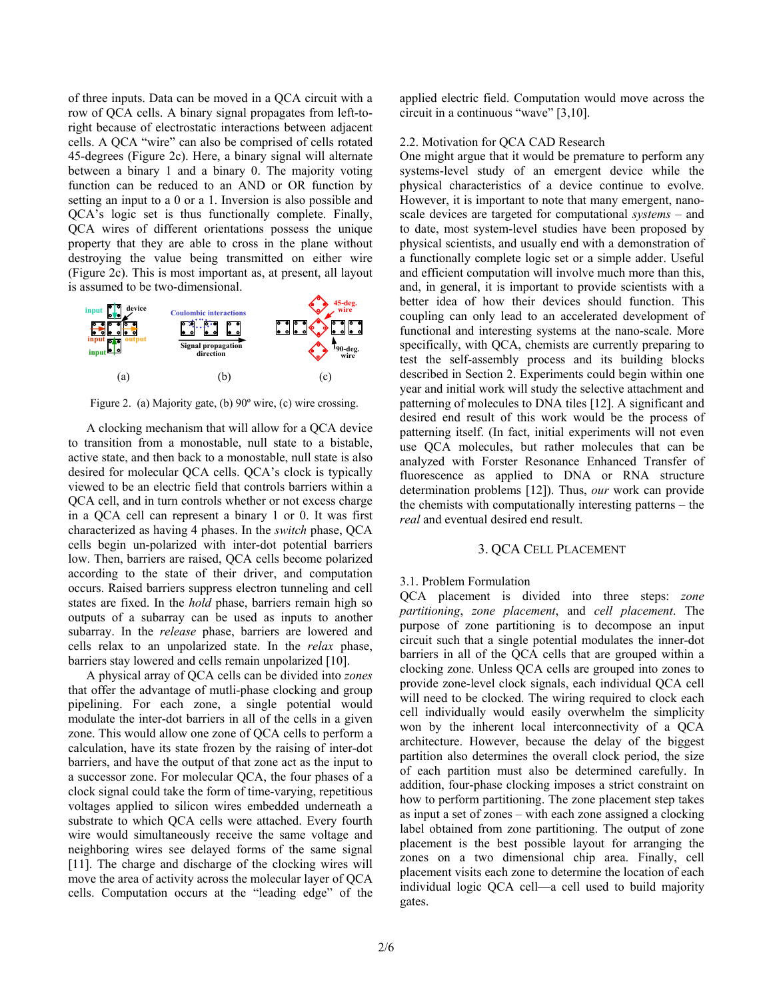of three inputs. Data can be moved in a QCA circuit with a row of QCA cells. A binary signal propagates from left-toright because of electrostatic interactions between adjacent cells. A QCA "wire" can also be comprised of cells rotated 45-degrees (Figure 2c). Here, a binary signal will alternate between a binary 1 and a binary 0. The majority voting function can be reduced to an AND or OR function by setting an input to a 0 or a 1. Inversion is also possible and QCA's logic set is thus functionally complete. Finally, QCA wires of different orientations possess the unique property that they are able to cross in the plane without destroying the value being transmitted on either wire (Figure 2c). This is most important as, at present, all layout is assumed to be two-dimensional.



Figure 2. (a) Majority gate, (b) 90º wire, (c) wire crossing.

A clocking mechanism that will allow for a QCA device to transition from a monostable, null state to a bistable, active state, and then back to a monostable, null state is also desired for molecular QCA cells. QCA's clock is typically viewed to be an electric field that controls barriers within a QCA cell, and in turn controls whether or not excess charge in a QCA cell can represent a binary 1 or 0. It was first characterized as having 4 phases. In the *switch* phase, QCA cells begin un-polarized with inter-dot potential barriers low. Then, barriers are raised, QCA cells become polarized according to the state of their driver, and computation occurs. Raised barriers suppress electron tunneling and cell states are fixed. In the *hold* phase, barriers remain high so outputs of a subarray can be used as inputs to another subarray. In the *release* phase, barriers are lowered and cells relax to an unpolarized state. In the *relax* phase, barriers stay lowered and cells remain unpolarized [10].

A physical array of QCA cells can be divided into *zones*  that offer the advantage of mutli-phase clocking and group pipelining. For each zone, a single potential would modulate the inter-dot barriers in all of the cells in a given zone. This would allow one zone of QCA cells to perform a calculation, have its state frozen by the raising of inter-dot barriers, and have the output of that zone act as the input to a successor zone. For molecular QCA, the four phases of a clock signal could take the form of time-varying, repetitious voltages applied to silicon wires embedded underneath a substrate to which QCA cells were attached. Every fourth wire would simultaneously receive the same voltage and neighboring wires see delayed forms of the same signal [11]. The charge and discharge of the clocking wires will move the area of activity across the molecular layer of QCA cells. Computation occurs at the "leading edge" of the

applied electric field. Computation would move across the circuit in a continuous "wave" [3,10].

## 2.2. Motivation for QCA CAD Research

One might argue that it would be premature to perform any systems-level study of an emergent device while the physical characteristics of a device continue to evolve. However, it is important to note that many emergent, nanoscale devices are targeted for computational *systems* – and to date, most system-level studies have been proposed by physical scientists, and usually end with a demonstration of a functionally complete logic set or a simple adder. Useful and efficient computation will involve much more than this, and, in general, it is important to provide scientists with a better idea of how their devices should function. This coupling can only lead to an accelerated development of functional and interesting systems at the nano-scale. More specifically, with QCA, chemists are currently preparing to test the self-assembly process and its building blocks described in Section 2. Experiments could begin within one year and initial work will study the selective attachment and patterning of molecules to DNA tiles [12]. A significant and desired end result of this work would be the process of patterning itself. (In fact, initial experiments will not even use QCA molecules, but rather molecules that can be analyzed with Forster Resonance Enhanced Transfer of fluorescence as applied to DNA or RNA structure determination problems [12]). Thus, *our* work can provide the chemists with computationally interesting patterns – the *real* and eventual desired end result.

# 3. QCA CELL PLACEMENT

#### 3.1. Problem Formulation

QCA placement is divided into three steps: *zone partitioning*, *zone placement*, and *cell placement*. The purpose of zone partitioning is to decompose an input circuit such that a single potential modulates the inner-dot barriers in all of the QCA cells that are grouped within a clocking zone. Unless QCA cells are grouped into zones to provide zone-level clock signals, each individual QCA cell will need to be clocked. The wiring required to clock each cell individually would easily overwhelm the simplicity won by the inherent local interconnectivity of a QCA architecture. However, because the delay of the biggest partition also determines the overall clock period, the size of each partition must also be determined carefully. In addition, four-phase clocking imposes a strict constraint on how to perform partitioning. The zone placement step takes as input a set of zones – with each zone assigned a clocking label obtained from zone partitioning. The output of zone placement is the best possible layout for arranging the zones on a two dimensional chip area. Finally, cell placement visits each zone to determine the location of each individual logic QCA cell—a cell used to build majority gates.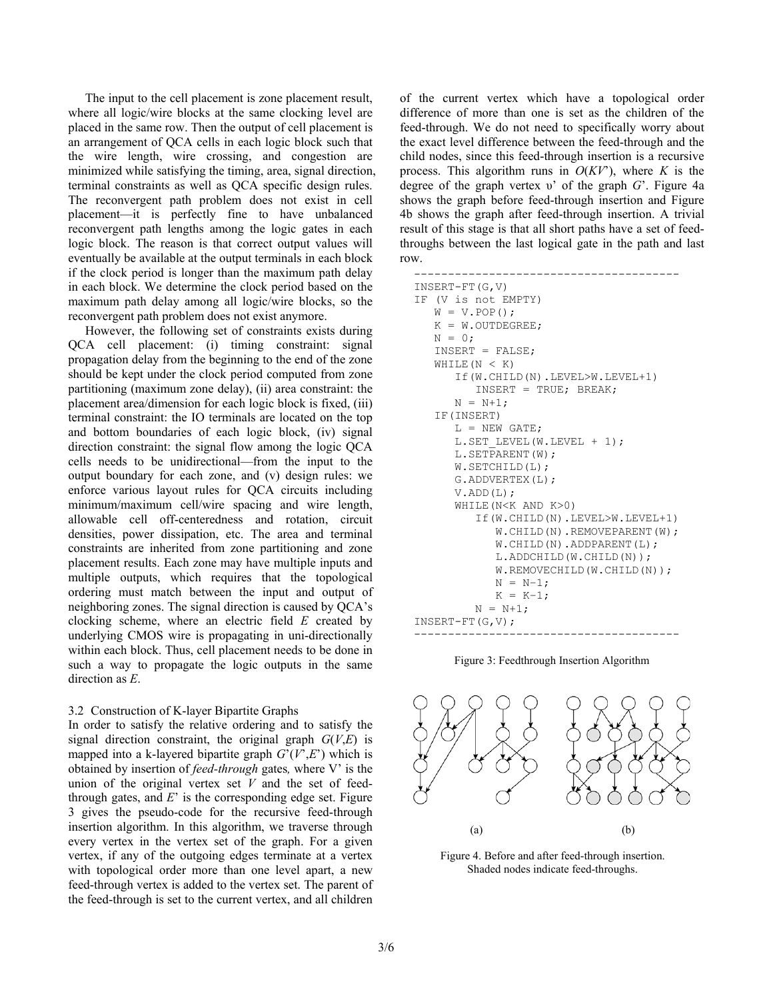The input to the cell placement is zone placement result, where all logic/wire blocks at the same clocking level are placed in the same row. Then the output of cell placement is an arrangement of QCA cells in each logic block such that the wire length, wire crossing, and congestion are minimized while satisfying the timing, area, signal direction, terminal constraints as well as QCA specific design rules. The reconvergent path problem does not exist in cell placement—it is perfectly fine to have unbalanced reconvergent path lengths among the logic gates in each logic block. The reason is that correct output values will eventually be available at the output terminals in each block if the clock period is longer than the maximum path delay in each block. We determine the clock period based on the maximum path delay among all logic/wire blocks, so the reconvergent path problem does not exist anymore.

However, the following set of constraints exists during QCA cell placement: (i) timing constraint: signal propagation delay from the beginning to the end of the zone should be kept under the clock period computed from zone partitioning (maximum zone delay), (ii) area constraint: the placement area/dimension for each logic block is fixed, (iii) terminal constraint: the IO terminals are located on the top and bottom boundaries of each logic block, (iv) signal direction constraint: the signal flow among the logic QCA cells needs to be unidirectional—from the input to the output boundary for each zone, and (v) design rules: we enforce various layout rules for QCA circuits including minimum/maximum cell/wire spacing and wire length, allowable cell off-centeredness and rotation, circuit densities, power dissipation, etc. The area and terminal constraints are inherited from zone partitioning and zone placement results. Each zone may have multiple inputs and multiple outputs, which requires that the topological ordering must match between the input and output of neighboring zones. The signal direction is caused by QCA's clocking scheme, where an electric field *E* created by underlying CMOS wire is propagating in uni-directionally within each block. Thus, cell placement needs to be done in such a way to propagate the logic outputs in the same direction as *E*.

# 3.2 Construction of K-layer Bipartite Graphs

In order to satisfy the relative ordering and to satisfy the signal direction constraint, the original graph  $G(V,E)$  is mapped into a k-layered bipartite graph  $G'(V', E')$  which is obtained by insertion of *feed-through* gates*,* where V' is the union of the original vertex set *V* and the set of feedthrough gates, and  $E'$  is the corresponding edge set. Figure 3 gives the pseudo-code for the recursive feed-through insertion algorithm. In this algorithm, we traverse through every vertex in the vertex set of the graph. For a given vertex, if any of the outgoing edges terminate at a vertex with topological order more than one level apart, a new feed-through vertex is added to the vertex set. The parent of the feed-through is set to the current vertex, and all children of the current vertex which have a topological order difference of more than one is set as the children of the feed-through. We do not need to specifically worry about the exact level difference between the feed-through and the child nodes, since this feed-through insertion is a recursive process. This algorithm runs in *O*(*ΚV*'), where *Κ* is the degree of the graph vertex υ' of the graph *G*'. Figure 4a shows the graph before feed-through insertion and Figure 4b shows the graph after feed-through insertion. A trivial result of this stage is that all short paths have a set of feedthroughs between the last logical gate in the path and last row.

```
--------------------------------------- 
INSERT-FT(G,V) 
IF (V is not EMPTY) 
   W = V.POP();K = W. OUTDEGREE;
   N = 0:
    INSERT = FALSE; 
   WHILE (N < K) If(W.CHILD(N).LEVEL>W.LEVEL+1) 
          INSERT = TRUE; BREAK; 
      N = N+1; IF(INSERT) 
      L = NEW GATE;L.SET_LEVEL(W.LEVEL + 1);
       L.SETPARENT(W); 
       W.SETCHILD(L); 
       G.ADDVERTEX(L); 
       V.ADD(L); 
       WHILE(N<K AND K>0) 
          If(W.CHILD(N).LEVEL>W.LEVEL+1) 
            W.CHILD(N).REMOVEPARENT(W);
             W.CHILD(N).ADDPARENT(L); 
             L.ADDCHILD(W.CHILD(N)); 
             W.REMOVECHILD(W.CHILD(N)); 
            N = N-1;K = K-1;N = N+1;INSERT-FT(G,V); 
 ---------------------------------------
```




Figure 4. Before and after feed-through insertion. Shaded nodes indicate feed-throughs.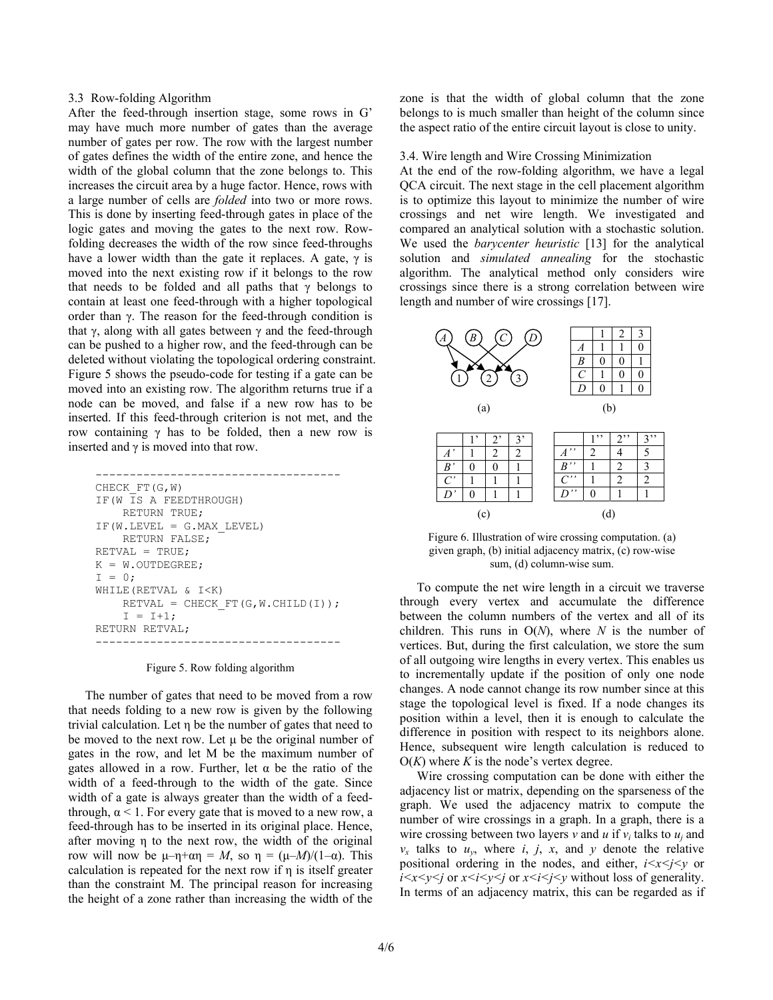### 3.3 Row-folding Algorithm

After the feed-through insertion stage, some rows in G' may have much more number of gates than the average number of gates per row. The row with the largest number of gates defines the width of the entire zone, and hence the width of the global column that the zone belongs to. This increases the circuit area by a huge factor. Hence, rows with a large number of cells are *folded* into two or more rows. This is done by inserting feed-through gates in place of the logic gates and moving the gates to the next row. Rowfolding decreases the width of the row since feed-throughs have a lower width than the gate it replaces. A gate,  $\gamma$  is moved into the next existing row if it belongs to the row that needs to be folded and all paths that  $\gamma$  belongs to contain at least one feed-through with a higher topological order than γ. The reason for the feed-through condition is that γ, along with all gates between γ and the feed-through can be pushed to a higher row, and the feed-through can be deleted without violating the topological ordering constraint. Figure 5 shows the pseudo-code for testing if a gate can be moved into an existing row. The algorithm returns true if a node can be moved, and false if a new row has to be inserted. If this feed-through criterion is not met, and the row containing  $\gamma$  has to be folded, then a new row is inserted and  $\gamma$  is moved into that row.

| CHECK FT(G,W)                          |
|----------------------------------------|
| IF (W IS A FEEDTHROUGH)                |
| RETURN TRUE;                           |
| $IF(W. LEVEL = G.MAX LEVEL)$           |
| RETURN FALSE;                          |
| $RETVAL = TRUE$                        |
| $K = W .$ OUTDEGREE:                   |
| $I = 0$ :                              |
| WHILE (RETVAL $\&$ I $\lt K$ )         |
| RETVAL = CHECK FT $(G, W, CHILD(I))$ ; |
| $I = I+1$ ;                            |
| RETURN RETVAL;                         |
|                                        |

Figure 5. Row folding algorithm

The number of gates that need to be moved from a row that needs folding to a new row is given by the following trivial calculation. Let η be the number of gates that need to be moved to the next row. Let  $\mu$  be the original number of gates in the row, and let M be the maximum number of gates allowed in a row. Further, let  $\alpha$  be the ratio of the width of a feed-through to the width of the gate. Since width of a gate is always greater than the width of a feedthrough,  $\alpha$  < 1. For every gate that is moved to a new row, a feed-through has to be inserted in its original place. Hence, after moving η to the next row, the width of the original row will now be µ–η+αη = *M*, so η = (µ–*M*)/(1–α). This calculation is repeated for the next row if  $\eta$  is itself greater than the constraint M. The principal reason for increasing the height of a zone rather than increasing the width of the

zone is that the width of global column that the zone belongs to is much smaller than height of the column since the aspect ratio of the entire circuit layout is close to unity.

#### 3.4. Wire length and Wire Crossing Minimization

At the end of the row-folding algorithm, we have a legal QCA circuit. The next stage in the cell placement algorithm is to optimize this layout to minimize the number of wire crossings and net wire length. We investigated and compared an analytical solution with a stochastic solution. We used the *barycenter heuristic* [13] for the analytical solution and *simulated annealing* for the stochastic algorithm. The analytical method only considers wire crossings since there is a strong correlation between wire length and number of wire crossings [17].



Figure 6. Illustration of wire crossing computation. (a) given graph, (b) initial adjacency matrix, (c) row-wise sum, (d) column-wise sum.

To compute the net wire length in a circuit we traverse through every vertex and accumulate the difference between the column numbers of the vertex and all of its children. This runs in O(*N*), where *N* is the number of vertices. But, during the first calculation, we store the sum of all outgoing wire lengths in every vertex. This enables us to incrementally update if the position of only one node changes. A node cannot change its row number since at this stage the topological level is fixed. If a node changes its position within a level, then it is enough to calculate the difference in position with respect to its neighbors alone. Hence, subsequent wire length calculation is reduced to  $O(K)$  where *K* is the node's vertex degree.

Wire crossing computation can be done with either the adjacency list or matrix, depending on the sparseness of the graph. We used the adjacency matrix to compute the number of wire crossings in a graph. In a graph, there is a wire crossing between two layers  $v$  and  $u$  if  $v_i$  talks to  $u_j$  and  $v_x$  talks to  $u_y$ , where *i*, *j*, *x*, and *y* denote the relative positional ordering in the nodes, and either,  $i \leq x \leq j \leq y$  or  $i \le x \le y \le j$  or  $x \le i \le y \le j$  or  $x \le i \le j \le y$  without loss of generality. In terms of an adjacency matrix, this can be regarded as if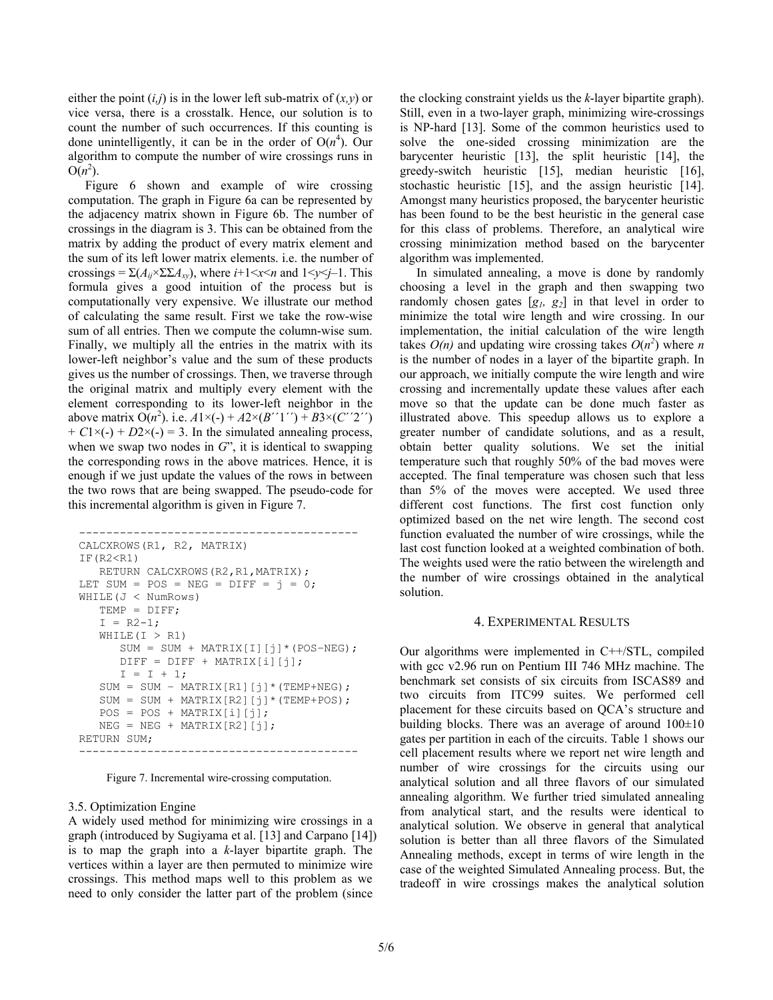either the point  $(i,j)$  is in the lower left sub-matrix of  $(x,y)$  or vice versa, there is a crosstalk. Hence, our solution is to count the number of such occurrences. If this counting is done unintelligently, it can be in the order of  $O(n^4)$ . Our algorithm to compute the number of wire crossings runs in  $O(n^2)$ .

Figure 6 shown and example of wire crossing computation. The graph in Figure 6a can be represented by the adjacency matrix shown in Figure 6b. The number of crossings in the diagram is 3. This can be obtained from the matrix by adding the product of every matrix element and the sum of its left lower matrix elements. i.e. the number of crossings =  $\Sigma(A_{ii} \times \Sigma \Sigma A_{xy})$ , where *i*+1  $\leq x \leq n$  and 1  $\leq y \leq j-1$ . This formula gives a good intuition of the process but is computationally very expensive. We illustrate our method of calculating the same result. First we take the row-wise sum of all entries. Then we compute the column-wise sum. Finally, we multiply all the entries in the matrix with its lower-left neighbor's value and the sum of these products gives us the number of crossings. Then, we traverse through the original matrix and multiply every element with the element corresponding to its lower-left neighbor in the above matrix  $O(n^2)$ . i.e.  $A1 \times (-) + A2 \times (B''1'') + B3 \times (C''2'')$  $+ C1 \times (-) + D2 \times (-) = 3$ . In the simulated annealing process, when we swap two nodes in *G*", it is identical to swapping the corresponding rows in the above matrices. Hence, it is enough if we just update the values of the rows in between the two rows that are being swapped. The pseudo-code for this incremental algorithm is given in Figure 7.

```
-----------------------------------------
CALCXROWS(R1, R2, MATRIX) 
IF(R2<R1) 
   RETURN CALCXROWS(R2, R1, MATRIX);
LET SUM = POS = NEG = DIFF = j = 0;
WHILE(J < NumRows)
    TEMP = DIFF; 
   I = R2-1;WHILE(I > R1)SUM = SUM + MATRIX[I][i]*(POS-NEG);DIFF = DIFF + MARTRIX[i][j];I = I + 1;SUM = SUM - MATRIX[RI][i]*(TEMP+NEG);SUM = SUM + MATRIX[R2][j]*(TEMP+POS);
   POS = POS + MATRIX[i][j];NEG = NEG + MATRIX[R2][j];RETURN SUM; 
-----------------------------------------
```
Figure 7. Incremental wire-crossing computation.

# 3.5. Optimization Engine

A widely used method for minimizing wire crossings in a graph (introduced by Sugiyama et al. [13] and Carpano [14]) is to map the graph into a *k*-layer bipartite graph. The vertices within a layer are then permuted to minimize wire crossings. This method maps well to this problem as we need to only consider the latter part of the problem (since

the clocking constraint yields us the *k*-layer bipartite graph). Still, even in a two-layer graph, minimizing wire-crossings is NP-hard [13]. Some of the common heuristics used to solve the one-sided crossing minimization are the barycenter heuristic [13], the split heuristic [14], the greedy-switch heuristic [15], median heuristic [16], stochastic heuristic [15], and the assign heuristic [14]. Amongst many heuristics proposed, the barycenter heuristic has been found to be the best heuristic in the general case for this class of problems. Therefore, an analytical wire crossing minimization method based on the barycenter algorithm was implemented.

 In simulated annealing, a move is done by randomly choosing a level in the graph and then swapping two randomly chosen gates [*g1, g2*] in that level in order to minimize the total wire length and wire crossing. In our implementation, the initial calculation of the wire length takes  $O(n)$  and updating wire crossing takes  $O(n^2)$  where *n* is the number of nodes in a layer of the bipartite graph. In our approach, we initially compute the wire length and wire crossing and incrementally update these values after each move so that the update can be done much faster as illustrated above. This speedup allows us to explore a greater number of candidate solutions, and as a result, obtain better quality solutions. We set the initial temperature such that roughly 50% of the bad moves were accepted. The final temperature was chosen such that less than 5% of the moves were accepted. We used three different cost functions. The first cost function only optimized based on the net wire length. The second cost function evaluated the number of wire crossings, while the last cost function looked at a weighted combination of both. The weights used were the ratio between the wirelength and the number of wire crossings obtained in the analytical solution.

#### 4. EXPERIMENTAL RESULTS

Our algorithms were implemented in C++/STL, compiled with gcc v2.96 run on Pentium III 746 MHz machine. The benchmark set consists of six circuits from ISCAS89 and two circuits from ITC99 suites. We performed cell placement for these circuits based on QCA's structure and building blocks. There was an average of around  $100\pm10$ gates per partition in each of the circuits. Table 1 shows our cell placement results where we report net wire length and number of wire crossings for the circuits using our analytical solution and all three flavors of our simulated annealing algorithm. We further tried simulated annealing from analytical start, and the results were identical to analytical solution. We observe in general that analytical solution is better than all three flavors of the Simulated Annealing methods, except in terms of wire length in the case of the weighted Simulated Annealing process. But, the tradeoff in wire crossings makes the analytical solution